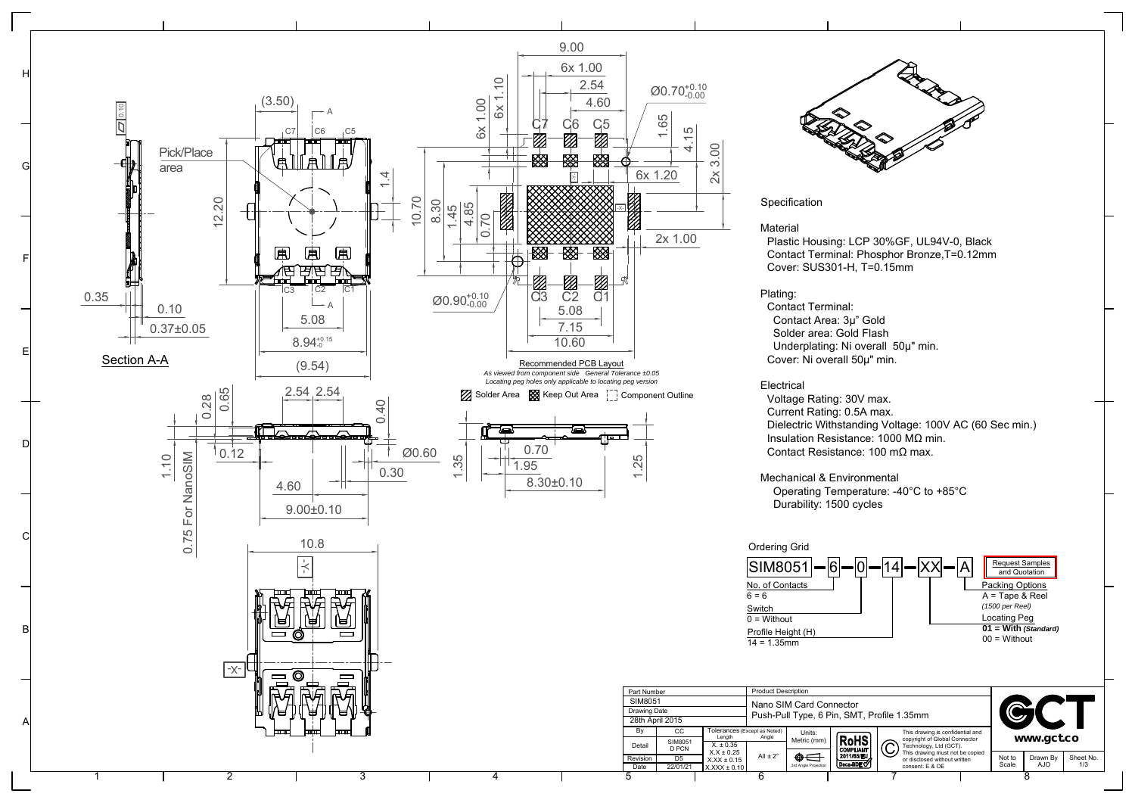

A

B

C

D

E

F

G

H



 Plastic Housing: LCP 30%GF, UL94V-0, Black Contact Terminal: Phosphor Bronze,T=0.12mm Cover: SUS301-H, T=0.15mm

 Contact Terminal: Contact Area: 3µ" Gold Solder area: Gold Flash Underplating: Ni overall 50µ" min. Cover: Ni overall 50µ" min.

 Voltage Rating: 30V max. Current Rating: 0.5A max. Dielectric Withstanding Voltage: 100V AC (60 Sec min.) Insulation Resistance: 1000 MΩ min. Contact Resistance: 100 mΩ max.

Operating Temperature: -40°C to +85°C

## [Request Samples](http://gct.co/sample-quote-request.aspx?p=SIM8051) and Quotation  $-0 - 14 - |XX| - |A$ Packing Options A = Tape & Reel *(1500 per Reel)*

Locating Peg **01 = With** *(Standard)*

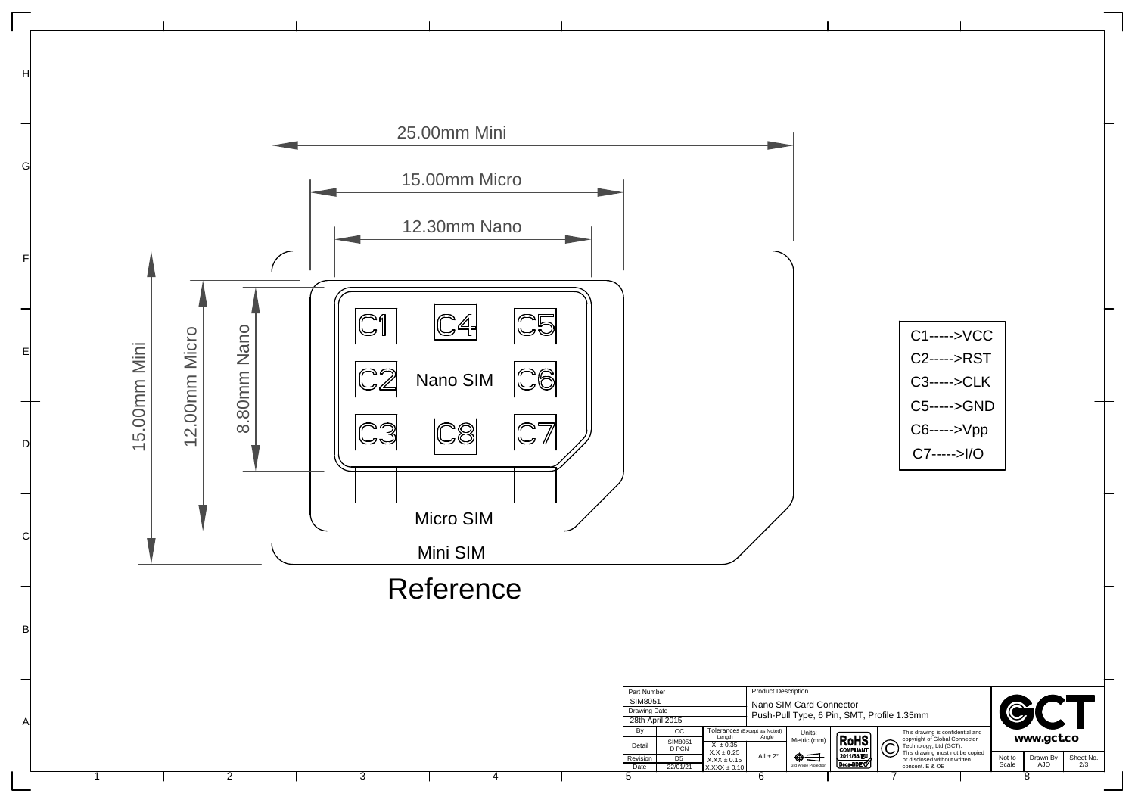